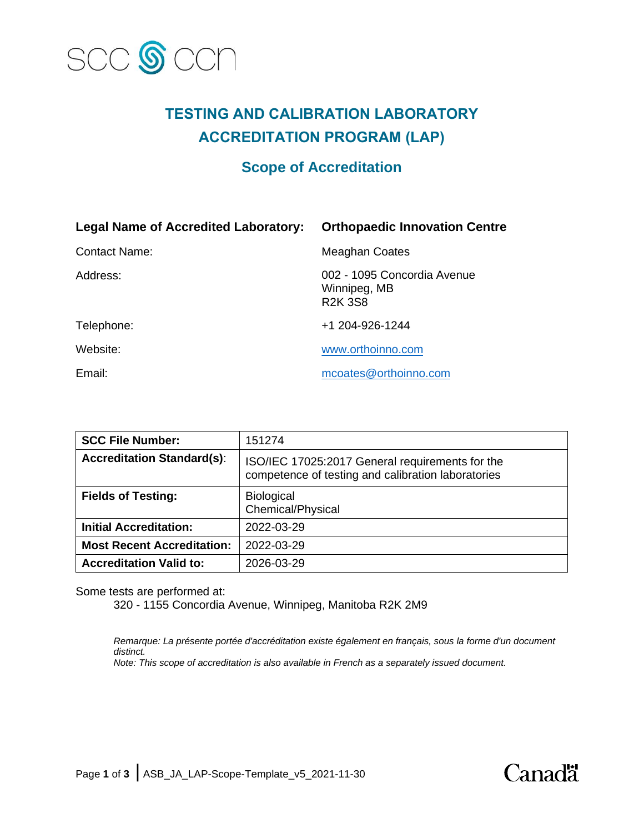

# **TESTING AND CALIBRATION LABORATORY ACCREDITATION PROGRAM (LAP)**

# **Scope of Accreditation**

| <b>Legal Name of Accredited Laboratory:</b> | <b>Orthopaedic Innovation Centre</b>                          |
|---------------------------------------------|---------------------------------------------------------------|
| <b>Contact Name:</b>                        | <b>Meaghan Coates</b>                                         |
| Address:                                    | 002 - 1095 Concordia Avenue<br>Winnipeg, MB<br><b>R2K 3S8</b> |
| Telephone:                                  | +1 204-926-1244                                               |
| Website:                                    | www.orthoinno.com                                             |
| Email:                                      | mcoates@orthoinno.com                                         |

| <b>SCC File Number:</b>           | 151274                                                                                                |
|-----------------------------------|-------------------------------------------------------------------------------------------------------|
| <b>Accreditation Standard(s):</b> | ISO/IEC 17025:2017 General requirements for the<br>competence of testing and calibration laboratories |
| <b>Fields of Testing:</b>         | <b>Biological</b><br>Chemical/Physical                                                                |
| <b>Initial Accreditation:</b>     | 2022-03-29                                                                                            |
| <b>Most Recent Accreditation:</b> | 2022-03-29                                                                                            |
| <b>Accreditation Valid to:</b>    | 2026-03-29                                                                                            |

Some tests are performed at:

320 - 1155 Concordia Avenue, Winnipeg, Manitoba R2K 2M9

*Remarque: La présente portée d'accréditation existe également en français, sous la forme d'un document distinct.*

*Note: This scope of accreditation is also available in French as a separately issued document.*

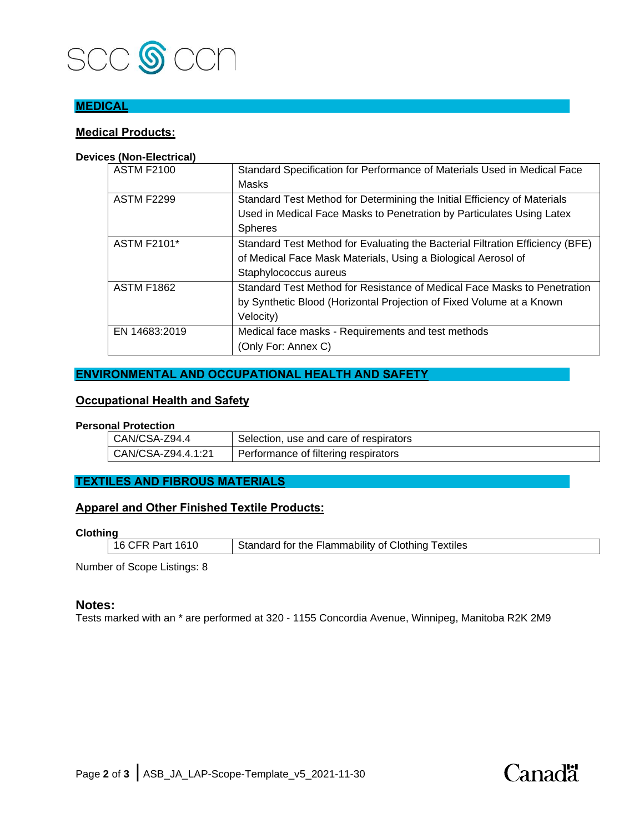

## **MEDICAL**

### **Medical Products:**

#### **Devices (Non-Electrical)**

| <b>ASTM F2100</b>  | Standard Specification for Performance of Materials Used in Medical Face      |
|--------------------|-------------------------------------------------------------------------------|
|                    | Masks                                                                         |
| <b>ASTM F2299</b>  | Standard Test Method for Determining the Initial Efficiency of Materials      |
|                    | Used in Medical Face Masks to Penetration by Particulates Using Latex         |
|                    | <b>Spheres</b>                                                                |
| <b>ASTM F2101*</b> | Standard Test Method for Evaluating the Bacterial Filtration Efficiency (BFE) |
|                    | of Medical Face Mask Materials, Using a Biological Aerosol of                 |
|                    | Staphylococcus aureus                                                         |
| <b>ASTM F1862</b>  | Standard Test Method for Resistance of Medical Face Masks to Penetration      |
|                    | by Synthetic Blood (Horizontal Projection of Fixed Volume at a Known          |
|                    | Velocity)                                                                     |
| EN 14683:2019      | Medical face masks - Requirements and test methods                            |
|                    | (Only For: Annex C)                                                           |

### **ENVIRONMENTAL AND OCCUPATIONAL HEALTH AND SAFETY**

#### **Occupational Health and Safety**

#### **Personal Protection**

| CAN/CSA-Z94.4      | Selection, use and care of respirators |
|--------------------|----------------------------------------|
| CAN/CSA-Z94.4.1:21 | Performance of filtering respirators   |

### **TEXTILES AND FIBROUS MATERIALS**

#### **Apparel and Other Finished Textile Products:**

**Clothing**

| 16 CFR Part 1610 | Standard for the Flammability of Clothing Textiles |
|------------------|----------------------------------------------------|

Number of Scope Listings: 8

#### **Notes:**

Tests marked with an \* are performed at 320 - 1155 Concordia Avenue, Winnipeg, Manitoba R2K 2M9